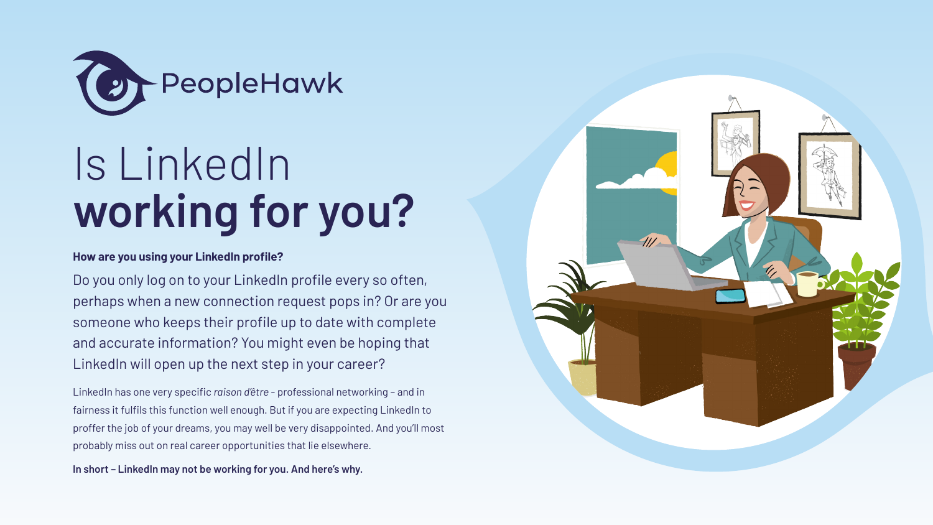LinkedIn has one very specific *raison d'être* - professional networking – and in fairness it fulfils this function well enough. But if you are expecting LinkedIn to proffer the job of your dreams, you may well be very disappointed. And you'll most probably miss out on real career opportunities that lie elsewhere.

**In short – LinkedIn may not be working for you. And here's why.**



#### **How are you using your LinkedIn profile?**

Do you only log on to your LinkedIn profile every so often, perhaps when a new connection request pops in? Or are you someone who keeps their profile up to date with complete and accurate information? You might even be hoping that LinkedIn will open up the next step in your career?



# Is LinkedIn **working for you?**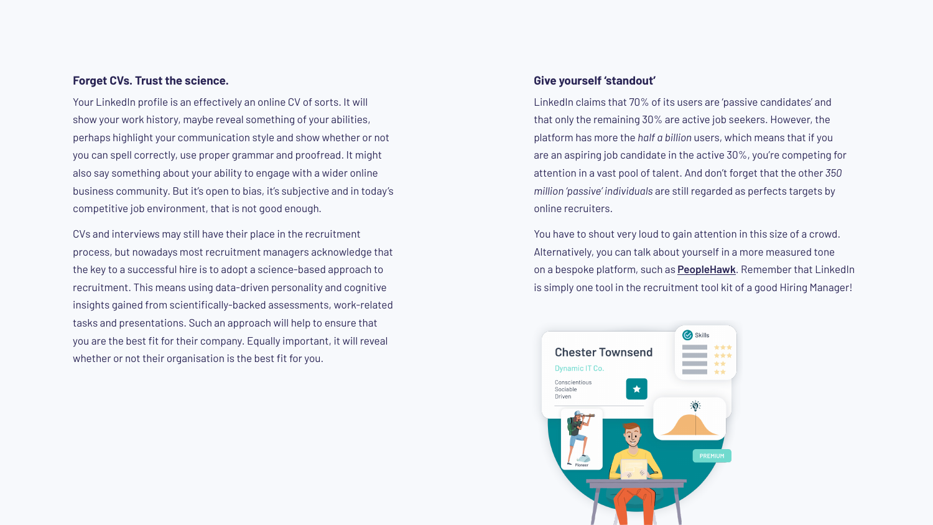Your LinkedIn profile is an effectively an online CV of sorts. It will show your work history, maybe reveal something of your abilities, perhaps highlight your communication style and show whether or not you can spell correctly, use proper grammar and proofread. It might also say something about your ability to engage with a wider online business community. But it's open to bias, it's subjective and in today's competitive job environment, that is not good enough.

CVs and interviews may still have their place in the recruitment process, but nowadays most recruitment managers acknowledge that the key to a successful hire is to adopt a science-based approach to recruitment. This means using data-driven personality and cognitive insights gained from scientifically-backed assessments, work-related tasks and presentations. Such an approach will help to ensure that you are the best fit for their company. Equally important, it will reveal whether or not their organisation is the best fit for you.

#### **Forget CVs. Trust the science.**

LinkedIn claims that 70% of its users are 'passive candidates' and that only the remaining 30% are active job seekers. However, the platform has more the *half a billion* users, which means that if you are an aspiring job candidate in the active 30%, you're competing for attention in a vast pool of talent. And don't forget that the other *350 million 'passive' individuals* are still regarded as perfects targets by online recruiters.

You have to shout very loud to gain attention in this size of a crowd. Alternatively, you can talk about yourself in a more measured tone on a bespoke platform, such as **[PeopleHawk](https://PeopleHawk.com)**. Remember that LinkedIn is simply one tool in the recruitment tool kit of a good Hiring Manager!



#### **Give yourself 'standout'**